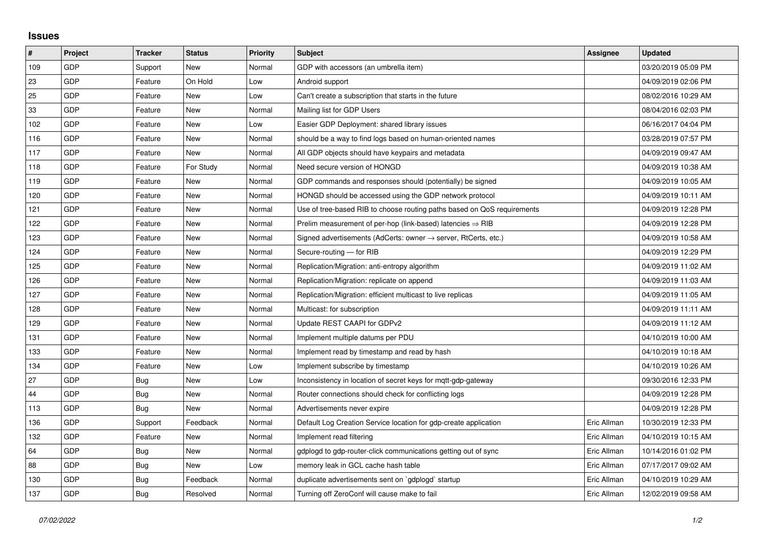## **Issues**

| $\sharp$ | Project    | <b>Tracker</b> | <b>Status</b> | <b>Priority</b> | <b>Subject</b>                                                          | <b>Assignee</b> | <b>Updated</b>      |
|----------|------------|----------------|---------------|-----------------|-------------------------------------------------------------------------|-----------------|---------------------|
| 109      | <b>GDP</b> | Support        | <b>New</b>    | Normal          | GDP with accessors (an umbrella item)                                   |                 | 03/20/2019 05:09 PM |
| 23       | <b>GDP</b> | Feature        | On Hold       | Low             | Android support                                                         |                 | 04/09/2019 02:06 PM |
| 25       | GDP        | Feature        | New           | Low             | Can't create a subscription that starts in the future                   |                 | 08/02/2016 10:29 AM |
| 33       | GDP        | Feature        | <b>New</b>    | Normal          | Mailing list for GDP Users                                              |                 | 08/04/2016 02:03 PM |
| 102      | <b>GDP</b> | Feature        | <b>New</b>    | Low             | Easier GDP Deployment: shared library issues                            |                 | 06/16/2017 04:04 PM |
| 116      | <b>GDP</b> | Feature        | <b>New</b>    | Normal          | should be a way to find logs based on human-oriented names              |                 | 03/28/2019 07:57 PM |
| 117      | GDP        | Feature        | <b>New</b>    | Normal          | All GDP objects should have keypairs and metadata                       |                 | 04/09/2019 09:47 AM |
| 118      | <b>GDP</b> | Feature        | For Study     | Normal          | Need secure version of HONGD                                            |                 | 04/09/2019 10:38 AM |
| 119      | <b>GDP</b> | Feature        | New           | Normal          | GDP commands and responses should (potentially) be signed               |                 | 04/09/2019 10:05 AM |
| 120      | GDP        | Feature        | <b>New</b>    | Normal          | HONGD should be accessed using the GDP network protocol                 |                 | 04/09/2019 10:11 AM |
| 121      | GDP        | Feature        | <b>New</b>    | Normal          | Use of tree-based RIB to choose routing paths based on QoS requirements |                 | 04/09/2019 12:28 PM |
| 122      | <b>GDP</b> | Feature        | New           | Normal          | Prelim measurement of per-hop (link-based) latencies $\Rightarrow$ RIB  |                 | 04/09/2019 12:28 PM |
| 123      | GDP        | Feature        | New           | Normal          | Signed advertisements (AdCerts: owner → server, RtCerts, etc.)          |                 | 04/09/2019 10:58 AM |
| 124      | GDP        | Feature        | <b>New</b>    | Normal          | Secure-routing - for RIB                                                |                 | 04/09/2019 12:29 PM |
| 125      | <b>GDP</b> | Feature        | <b>New</b>    | Normal          | Replication/Migration: anti-entropy algorithm                           |                 | 04/09/2019 11:02 AM |
| 126      | <b>GDP</b> | Feature        | <b>New</b>    | Normal          | Replication/Migration: replicate on append                              |                 | 04/09/2019 11:03 AM |
| 127      | GDP        | Feature        | <b>New</b>    | Normal          | Replication/Migration: efficient multicast to live replicas             |                 | 04/09/2019 11:05 AM |
| 128      | <b>GDP</b> | Feature        | <b>New</b>    | Normal          | Multicast: for subscription                                             |                 | 04/09/2019 11:11 AM |
| 129      | GDP        | Feature        | <b>New</b>    | Normal          | Update REST CAAPI for GDPv2                                             |                 | 04/09/2019 11:12 AM |
| 131      | GDP        | Feature        | <b>New</b>    | Normal          | Implement multiple datums per PDU                                       |                 | 04/10/2019 10:00 AM |
| 133      | <b>GDP</b> | Feature        | <b>New</b>    | Normal          | Implement read by timestamp and read by hash                            |                 | 04/10/2019 10:18 AM |
| 134      | GDP        | Feature        | New           | Low             | Implement subscribe by timestamp                                        |                 | 04/10/2019 10:26 AM |
| 27       | GDP        | Bug            | New           | Low             | Inconsistency in location of secret keys for mgtt-gdp-gateway           |                 | 09/30/2016 12:33 PM |
| 44       | GDP        | Bug            | <b>New</b>    | Normal          | Router connections should check for conflicting logs                    |                 | 04/09/2019 12:28 PM |
| 113      | <b>GDP</b> | Bug            | <b>New</b>    | Normal          | Advertisements never expire                                             |                 | 04/09/2019 12:28 PM |
| 136      | GDP        | Support        | Feedback      | Normal          | Default Log Creation Service location for gdp-create application        | Eric Allman     | 10/30/2019 12:33 PM |
| 132      | GDP        | Feature        | <b>New</b>    | Normal          | Implement read filtering                                                | Eric Allman     | 04/10/2019 10:15 AM |
| 64       | <b>GDP</b> | Bug            | <b>New</b>    | Normal          | gdplogd to gdp-router-click communications getting out of sync          | Eric Allman     | 10/14/2016 01:02 PM |
| 88       | <b>GDP</b> | <b>Bug</b>     | New           | Low             | memory leak in GCL cache hash table                                     | Eric Allman     | 07/17/2017 09:02 AM |
| 130      | GDP        | Bug            | Feedback      | Normal          | duplicate advertisements sent on `gdplogd` startup                      | Eric Allman     | 04/10/2019 10:29 AM |
| 137      | GDP        | <b>Bug</b>     | Resolved      | Normal          | Turning off ZeroConf will cause make to fail                            | Eric Allman     | 12/02/2019 09:58 AM |